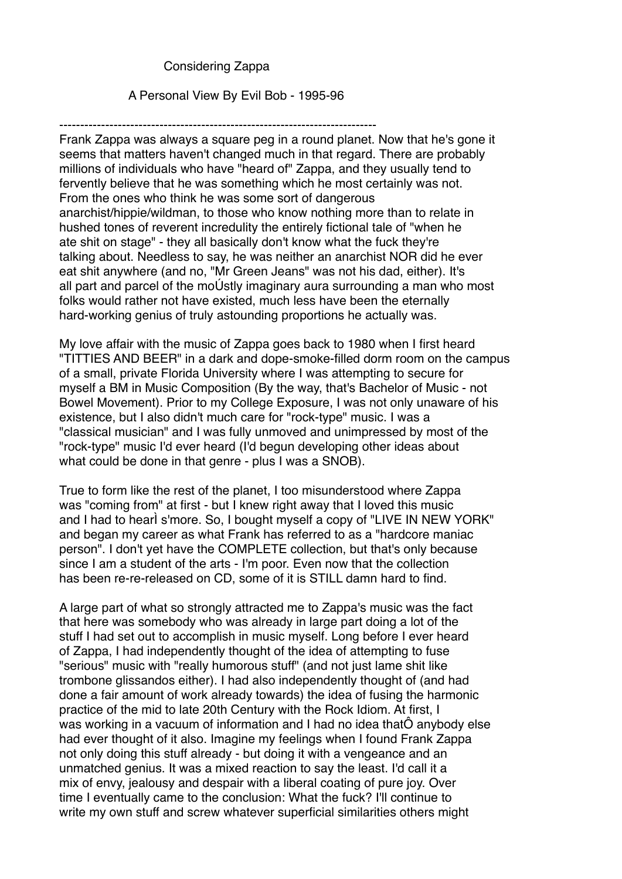## Considering Zappa

#### A Personal View By Evil Bob - 1995-96

----------------------------------------------------------------------------

Frank Zappa was always a square peg in a round planet. Now that he's gone it seems that matters haven't changed much in that regard. There are probably millions of individuals who have "heard of" Zappa, and they usually tend to fervently believe that he was something which he most certainly was not. From the ones who think he was some sort of dangerous anarchist/hippie/wildman, to those who know nothing more than to relate in hushed tones of reverent incredulity the entirely fictional tale of "when he ate shit on stage" - they all basically don't know what the fuck they're talking about. Needless to say, he was neither an anarchist NOR did he ever eat shit anywhere (and no, "Mr Green Jeans" was not his dad, either). It's all part and parcel of the moÚstly imaginary aura surrounding a man who most folks would rather not have existed, much less have been the eternally hard-working genius of truly astounding proportions he actually was.

My love affair with the music of Zappa goes back to 1980 when I first heard "TITTIES AND BEER" in a dark and dope-smoke-filled dorm room on the campus of a small, private Florida University where I was attempting to secure for myself a BM in Music Composition (By the way, that's Bachelor of Music - not Bowel Movement). Prior to my College Exposure, I was not only unaware of his existence, but I also didn't much care for "rock-type" music. I was a "classical musician" and I was fully unmoved and unimpressed by most of the "rock-type" music I'd ever heard (I'd begun developing other ideas about what could be done in that genre - plus I was a SNOB).

True to form like the rest of the planet, I too misunderstood where Zappa was "coming from" at first - but I knew right away that I loved this music and I had to hearÌ s'more. So, I bought myself a copy of "LIVE IN NEW YORK" and began my career as what Frank has referred to as a "hardcore maniac person". I don't yet have the COMPLETE collection, but that's only because since I am a student of the arts - I'm poor. Even now that the collection has been re-re-released on CD, some of it is STILL damn hard to find.

A large part of what so strongly attracted me to Zappa's music was the fact that here was somebody who was already in large part doing a lot of the stuff I had set out to accomplish in music myself. Long before I ever heard of Zappa, I had independently thought of the idea of attempting to fuse "serious" music with "really humorous stuff" (and not just lame shit like trombone glissandos either). I had also independently thought of (and had done a fair amount of work already towards) the idea of fusing the harmonic practice of the mid to late 20th Century with the Rock Idiom. At first, I was working in a vacuum of information and I had no idea thatÔ anybody else had ever thought of it also. Imagine my feelings when I found Frank Zappa not only doing this stuff already - but doing it with a vengeance and an unmatched genius. It was a mixed reaction to say the least. I'd call it a mix of envy, jealousy and despair with a liberal coating of pure joy. Over time I eventually came to the conclusion: What the fuck? I'll continue to write my own stuff and screw whatever superficial similarities others might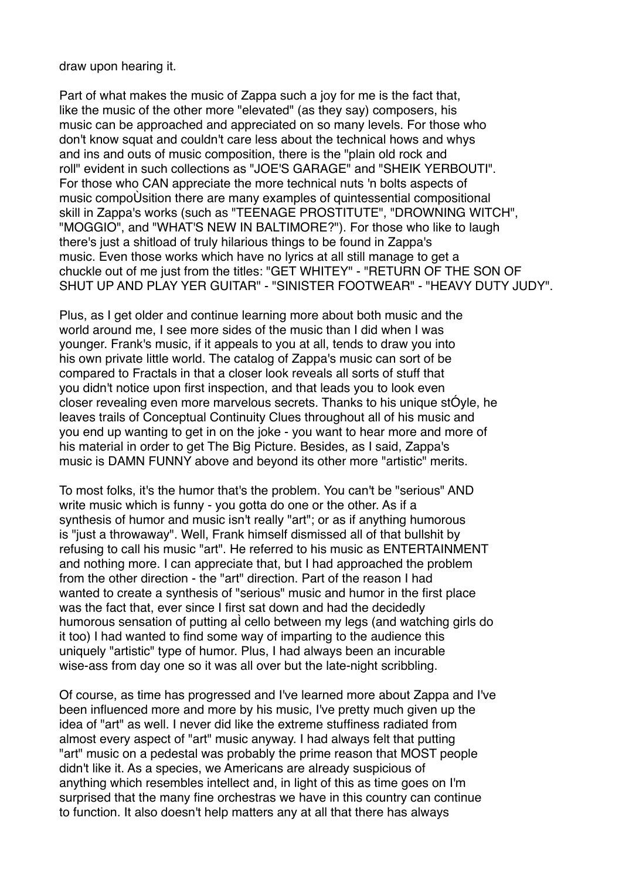draw upon hearing it.

Part of what makes the music of Zappa such a joy for me is the fact that, like the music of the other more "elevated" (as they say) composers, his music can be approached and appreciated on so many levels. For those who don't know squat and couldn't care less about the technical hows and whys and ins and outs of music composition, there is the "plain old rock and roll" evident in such collections as "JOE'S GARAGE" and "SHEIK YERBOUTI". For those who CAN appreciate the more technical nuts 'n bolts aspects of music compoÙsition there are many examples of quintessential compositional skill in Zappa's works (such as "TEENAGE PROSTITUTE", "DROWNING WITCH", "MOGGIO", and "WHAT'S NEW IN BALTIMORE?"). For those who like to laugh there's just a shitload of truly hilarious things to be found in Zappa's music. Even those works which have no lyrics at all still manage to get a chuckle out of me just from the titles: "GET WHITEY" - "RETURN OF THE SON OF SHUT UP AND PLAY YER GUITAR" - "SINISTER FOOTWEAR" - "HEAVY DUTY JUDY".

Plus, as I get older and continue learning more about both music and the world around me, I see more sides of the music than I did when I was younger. Frank's music, if it appeals to you at all, tends to draw you into his own private little world. The catalog of Zappa's music can sort of be compared to Fractals in that a closer look reveals all sorts of stuff that you didn't notice upon first inspection, and that leads you to look even closer revealing even more marvelous secrets. Thanks to his unique stÓyle, he leaves trails of Conceptual Continuity Clues throughout all of his music and you end up wanting to get in on the joke - you want to hear more and more of his material in order to get The Big Picture. Besides, as I said, Zappa's music is DAMN FUNNY above and beyond its other more "artistic" merits.

To most folks, it's the humor that's the problem. You can't be "serious" AND write music which is funny - you gotta do one or the other. As if a synthesis of humor and music isn't really "art"; or as if anything humorous is "just a throwaway". Well, Frank himself dismissed all of that bullshit by refusing to call his music "art". He referred to his music as ENTERTAINMENT and nothing more. I can appreciate that, but I had approached the problem from the other direction - the "art" direction. Part of the reason I had wanted to create a synthesis of "serious" music and humor in the first place was the fact that, ever since I first sat down and had the decidedly humorous sensation of putting aÌ cello between my legs (and watching girls do it too) I had wanted to find some way of imparting to the audience this uniquely "artistic" type of humor. Plus, I had always been an incurable wise-ass from day one so it was all over but the late-night scribbling.

Of course, as time has progressed and I've learned more about Zappa and I've been influenced more and more by his music, I've pretty much given up the idea of "art" as well. I never did like the extreme stuffiness radiated from almost every aspect of "art" music anyway. I had always felt that putting "art" music on a pedestal was probably the prime reason that MOST people didn't like it. As a species, we Americans are already suspicious of anything which resembles intellect and, in light of this as time goes on I'm surprised that the many fine orchestras we have in this country can continue to function. It also doesn't help matters any at all that there has always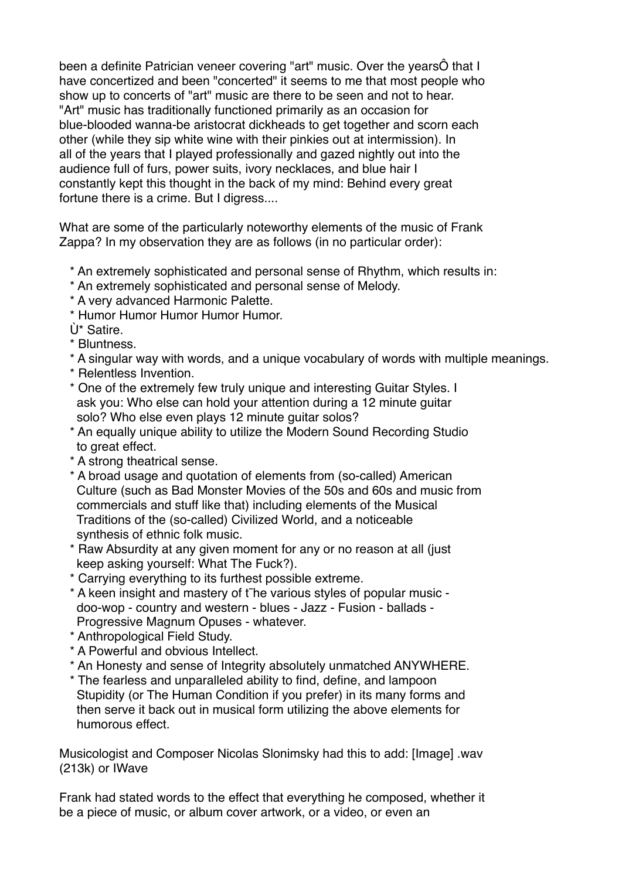been a definite Patrician veneer covering "art" music. Over the yearsÔ that I have concertized and been "concerted" it seems to me that most people who show up to concerts of "art" music are there to be seen and not to hear. "Art" music has traditionally functioned primarily as an occasion for blue-blooded wanna-be aristocrat dickheads to get together and scorn each other (while they sip white wine with their pinkies out at intermission). In all of the years that I played professionally and gazed nightly out into the audience full of furs, power suits, ivory necklaces, and blue hair I constantly kept this thought in the back of my mind: Behind every great fortune there is a crime. But I digress....

What are some of the particularly noteworthy elements of the music of Frank Zappa? In my observation they are as follows (in no particular order):

- \* An extremely sophisticated and personal sense of Rhythm, which results in:
- \* An extremely sophisticated and personal sense of Melody.
- \* A very advanced Harmonic Palette.
- \* Humor Humor Humor Humor Humor.
- Ù\* Satire.
- \* Bluntness.
- \* A singular way with words, and a unique vocabulary of words with multiple meanings.
- \* Relentless Invention.
- \* One of the extremely few truly unique and interesting Guitar Styles. I ask you: Who else can hold your attention during a 12 minute guitar solo? Who else even plays 12 minute guitar solos?
- \* An equally unique ability to utilize the Modern Sound Recording Studio to great effect.
- \* A strong theatrical sense.
- \* A broad usage and quotation of elements from (so-called) American Culture (such as Bad Monster Movies of the 50s and 60s and music from commercials and stuff like that) including elements of the Musical Traditions of the (so-called) Civilized World, and a noticeable synthesis of ethnic folk music.
- \* Raw Absurdity at any given moment for any or no reason at all (just keep asking yourself: What The Fuck?).
- \* Carrying everything to its furthest possible extreme.
- \* A keen insight and mastery of t˜he various styles of popular music doo-wop - country and western - blues - Jazz - Fusion - ballads - Progressive Magnum Opuses - whatever.
- \* Anthropological Field Study.
- \* A Powerful and obvious Intellect.
- \* An Honesty and sense of Integrity absolutely unmatched ANYWHERE.
- \* The fearless and unparalleled ability to find, define, and lampoon Stupidity (or The Human Condition if you prefer) in its many forms and then serve it back out in musical form utilizing the above elements for humorous effect.

Musicologist and Composer Nicolas Slonimsky had this to add: [Image] .wav (213k) or IWave

Frank had stated words to the effect that everything he composed, whether it be a piece of music, or album cover artwork, or a video, or even an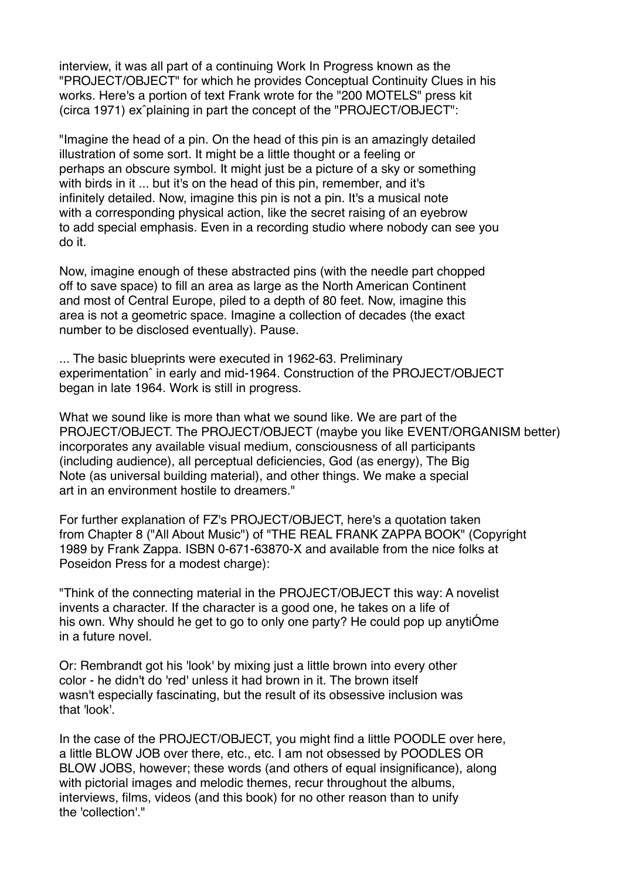interview, it was all part of a continuing Work In Progress known as the "PROJECT/OBJECT" for which he provides Conceptual Continuity Clues in his works. Here's a portion of text Frank wrote for the "200 MOTELS" press kit (circa 1971) exˆplaining in part the concept of the "PROJECT/OBJECT":

"Imagine the head of a pin. On the head of this pin is an amazingly detailed illustration of some sort. It might be a little thought or a feeling or perhaps an obscure symbol. It might just be a picture of a sky or something with birds in it ... but it's on the head of this pin, remember, and it's infinitely detailed. Now, imagine this pin is not a pin. It's a musical note with a corresponding physical action, like the secret raising of an eyebrow to add special emphasis. Even in a recording studio where nobody can see you do it.

Now, imagine enough of these abstracted pins (with the needle part chopped off to save space) to fill an area as large as the North American Continent and most of Central Europe, piled to a depth of 80 feet. Now, imagine this area is not a geometric space. Imagine a collection of decades (the exact number to be disclosed eventually). Pause.

... The basic blueprints were executed in 1962-63. Preliminary experimentationˆ in early and mid-1964. Construction of the PROJECT/OBJECT began in late 1964. Work is still in progress.

What we sound like is more than what we sound like. We are part of the PROJECT/OBJECT. The PROJECT/OBJECT (maybe you like EVENT/ORGANISM better) incorporates any available visual medium, consciousness of all participants (including audience), all perceptual deficiencies, God (as energy), The Big Note (as universal building material), and other things. We make a special art in an environment hostile to dreamers."

For further explanation of FZ's PROJECT/OBJECT, here's a quotation taken from Chapter 8 ("All About Music") of "THE REAL FRANK ZAPPA BOOK" (Copyright 1989 by Frank Zappa. ISBN 0-671-63870-X and available from the nice folks at Poseidon Press for a modest charge):

"Think of the connecting material in the PROJECT/OBJECT this way: A novelist invents a character. If the character is a good one, he takes on a life of his own. Why should he get to go to only one party? He could pop up anytiÓme in a future novel.

Or: Rembrandt got his 'look' by mixing just a little brown into every other color - he didn't do 'red' unless it had brown in it. The brown itself wasn't especially fascinating, but the result of its obsessive inclusion was that 'look'.

In the case of the PROJECT/OBJECT, you might find a little POODLE over here, a little BLOW JOB over there, etc., etc. I am not obsessed by POODLES OR BLOW JOBS, however; these words (and others of equal insignificance), along with pictorial images and melodic themes, recur throughout the albums, interviews, films, videos (and this book) for no other reason than to unify the 'collection'."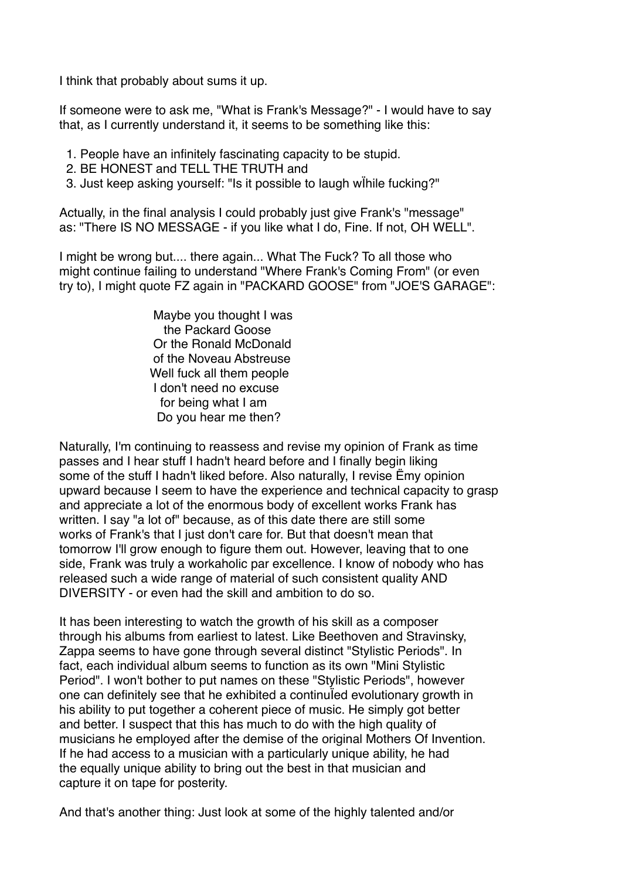I think that probably about sums it up.

If someone were to ask me, "What is Frank's Message?" - I would have to say that, as I currently understand it, it seems to be something like this:

- 1. People have an infinitely fascinating capacity to be stupid.
- 2. BE HONEST and TELL THE TRUTH and
- 3. Just keep asking yourself: "Is it possible to laugh wÏhile fucking?"

Actually, in the final analysis I could probably just give Frank's "message" as: "There IS NO MESSAGE - if you like what I do, Fine. If not, OH WELL".

I might be wrong but.... there again... What The Fuck? To all those who might continue failing to understand "Where Frank's Coming From" (or even try to), I might quote FZ again in "PACKARD GOOSE" from "JOE'S GARAGE":

> Maybe you thought I was the Packard Goose Or the Ronald McDonald of the Noveau Abstreuse Well fuck all them people I don't need no excuse for being what I am Do you hear me then?

Naturally, I'm continuing to reassess and revise my opinion of Frank as time passes and I hear stuff I hadn't heard before and I finally begin liking some of the stuff I hadn't liked before. Also naturally, I revise Ëmy opinion upward because I seem to have the experience and technical capacity to grasp and appreciate a lot of the enormous body of excellent works Frank has written. I say "a lot of" because, as of this date there are still some works of Frank's that I just don't care for. But that doesn't mean that tomorrow I'll grow enough to figure them out. However, leaving that to one side, Frank was truly a workaholic par excellence. I know of nobody who has released such a wide range of material of such consistent quality AND DIVERSITY - or even had the skill and ambition to do so.

It has been interesting to watch the growth of his skill as a composer through his albums from earliest to latest. Like Beethoven and Stravinsky, Zappa seems to have gone through several distinct "Stylistic Periods". In fact, each individual album seems to function as its own "Mini Stylistic Period". I won't bother to put names on these "Stylistic Periods", however one can definitely see that he exhibited a continuÏed evolutionary growth in his ability to put together a coherent piece of music. He simply got better and better. I suspect that this has much to do with the high quality of musicians he employed after the demise of the original Mothers Of Invention. If he had access to a musician with a particularly unique ability, he had the equally unique ability to bring out the best in that musician and capture it on tape for posterity.

And that's another thing: Just look at some of the highly talented and/or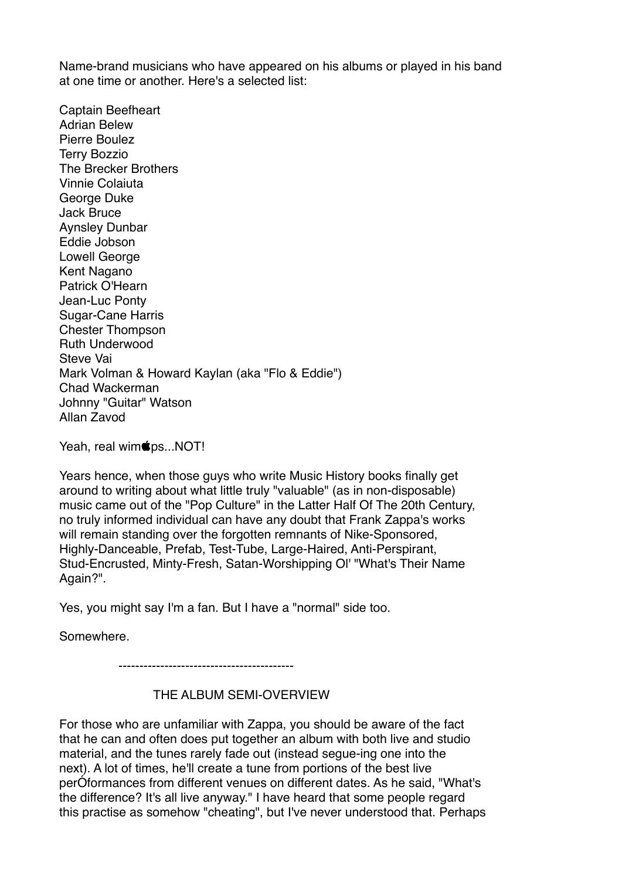Name-brand musicians who have appeared on his albums or played in his band at one time or another. Here's a selected list:

Captain Beefheart Adrian Belew Pierre Boulez Terry Bozzio The Brecker Brothers Vinnie Colaiuta George Duke Jack Bruce Aynsley Dunbar Eddie Jobson Lowell George Kent Nagano Patrick O'Hearn Jean-Luc Ponty Sugar-Cane Harris Chester Thompson Ruth Underwood Steve Vai Mark Volman & Howard Kaylan (aka "Flo & Eddie") Chad Wackerman Johnny "Guitar" Watson Allan Zavod

Yeah, real wim**s**ps...NOT!

Years hence, when those guys who write Music History books finally get around to writing about what little truly "valuable" (as in non-disposable) music came out of the "Pop Culture" in the Latter Half Of The 20th Century, no truly informed individual can have any doubt that Frank Zappa's works will remain standing over the forgotten remnants of Nike-Sponsored, Highly-Danceable, Prefab, Test-Tube, Large-Haired, Anti-Perspirant, Stud-Encrusted, Minty-Fresh, Satan-Worshipping Ol' "What's Their Name Again?".

Yes, you might say I'm a fan. But I have a "normal" side too.

Somewhere.

------------------------------------------

## THE ALBUM SEMI-OVERVIEW

For those who are unfamiliar with Zappa, you should be aware of the fact that he can and often does put together an album with both live and studio material, and the tunes rarely fade out (instead segue-ing one into the next). A lot of times, he'll create a tune from portions of the best live perÓformances from different venues on different dates. As he said, "What's the difference? It's all live anyway." I have heard that some people regard this practise as somehow "cheating", but I've never understood that. Perhaps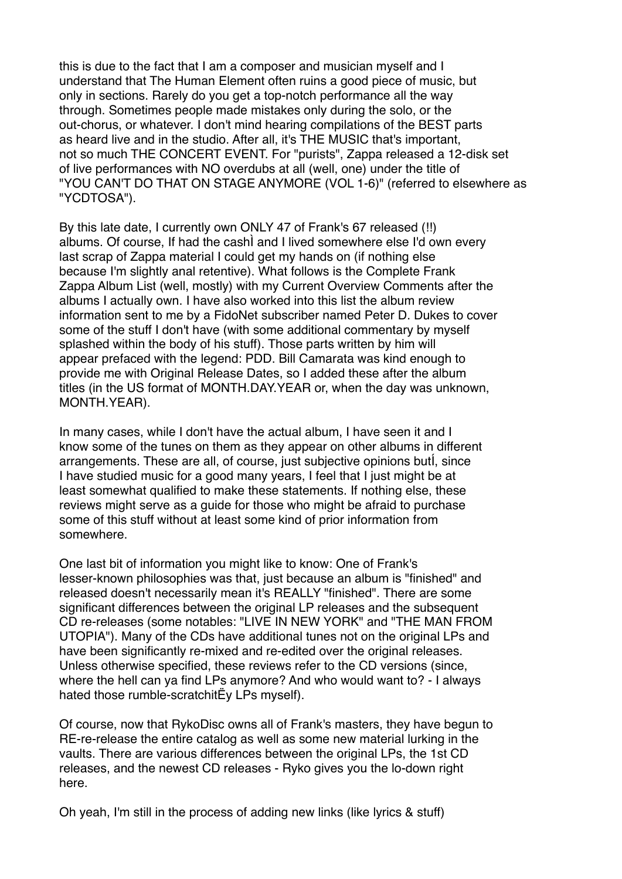this is due to the fact that I am a composer and musician myself and I understand that The Human Element often ruins a good piece of music, but only in sections. Rarely do you get a top-notch performance all the way through. Sometimes people made mistakes only during the solo, or the out-chorus, or whatever. I don't mind hearing compilations of the BEST parts as heard live and in the studio. After all, it's THE MUSIC that's important, not so much THE CONCERT EVENT. For "purists", Zappa released a 12-disk set of live performances with NO overdubs at all (well, one) under the title of "YOU CAN'T DO THAT ON STAGE ANYMORE (VOL 1-6)" (referred to elsewhere as "YCDTOSA").

By this late date, I currently own ONLY 47 of Frank's 67 released (!!) albums. Of course, If had the cashÌ and I lived somewhere else I'd own every last scrap of Zappa material I could get my hands on (if nothing else because I'm slightly anal retentive). What follows is the Complete Frank Zappa Album List (well, mostly) with my Current Overview Comments after the albums I actually own. I have also worked into this list the album review information sent to me by a FidoNet subscriber named Peter D. Dukes to cover some of the stuff I don't have (with some additional commentary by myself splashed within the body of his stuff). Those parts written by him will appear prefaced with the legend: PDD. Bill Camarata was kind enough to provide me with Original Release Dates, so I added these after the album titles (in the US format of MONTH.DAY.YEAR or, when the day was unknown, MONTH.YEAR).

In many cases, while I don't have the actual album, I have seen it and I know some of the tunes on them as they appear on other albums in different arrangements. These are all, of course, just subjective opinions butÍ, since I have studied music for a good many years, I feel that I just might be at least somewhat qualified to make these statements. If nothing else, these reviews might serve as a guide for those who might be afraid to purchase some of this stuff without at least some kind of prior information from somewhere.

One last bit of information you might like to know: One of Frank's lesser-known philosophies was that, just because an album is "finished" and released doesn't necessarily mean it's REALLY "finished". There are some significant differences between the original LP releases and the subsequent CD re-releases (some notables: "LIVE IN NEW YORK" and "THE MAN FROM UTOPIA"). Many of the CDs have additional tunes not on the original LPs and have been significantly re-mixed and re-edited over the original releases. Unless otherwise specified, these reviews refer to the CD versions (since, where the hell can ya find LPs anymore? And who would want to? - I always hated those rumble-scratchitËy LPs myself).

Of course, now that RykoDisc owns all of Frank's masters, they have begun to RE-re-release the entire catalog as well as some new material lurking in the vaults. There are various differences between the original LPs, the 1st CD releases, and the newest CD releases - Ryko gives you the lo-down right here.

Oh yeah, I'm still in the process of adding new links (like lyrics & stuff)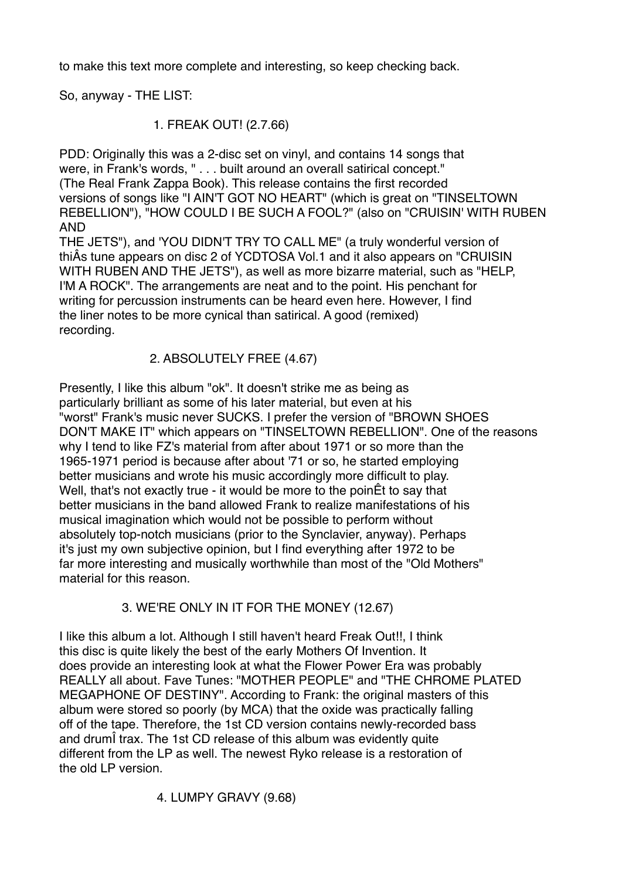to make this text more complete and interesting, so keep checking back.

So, anyway - THE LIST:

# 1. FREAK OUT! (2.7.66)

PDD: Originally this was a 2-disc set on vinyl, and contains 14 songs that were, in Frank's words, " . . . built around an overall satirical concept." (The Real Frank Zappa Book). This release contains the first recorded versions of songs like "I AIN'T GOT NO HEART" (which is great on "TINSELTOWN REBELLION"), "HOW COULD I BE SUCH A FOOL?" (also on "CRUISIN' WITH RUBEN AND

THE JETS"), and 'YOU DIDN'T TRY TO CALL ME" (a truly wonderful version of thiÂs tune appears on disc 2 of YCDTOSA Vol.1 and it also appears on "CRUISIN WITH RUBEN AND THE JETS"), as well as more bizarre material, such as "HELP, I'M A ROCK". The arrangements are neat and to the point. His penchant for writing for percussion instruments can be heard even here. However, I find the liner notes to be more cynical than satirical. A good (remixed) recording.

# 2. ABSOLUTELY FREE (4.67)

Presently, I like this album "ok". It doesn't strike me as being as particularly brilliant as some of his later material, but even at his "worst" Frank's music never SUCKS. I prefer the version of "BROWN SHOES DON'T MAKE IT" which appears on "TINSELTOWN REBELLION". One of the reasons why I tend to like FZ's material from after about 1971 or so more than the 1965-1971 period is because after about '71 or so, he started employing better musicians and wrote his music accordingly more difficult to play. Well, that's not exactly true - it would be more to the poin  $Et$  to say that better musicians in the band allowed Frank to realize manifestations of his musical imagination which would not be possible to perform without absolutely top-notch musicians (prior to the Synclavier, anyway). Perhaps it's just my own subjective opinion, but I find everything after 1972 to be far more interesting and musically worthwhile than most of the "Old Mothers" material for this reason.

# 3. WE'RE ONLY IN IT FOR THE MONEY (12.67)

I like this album a lot. Although I still haven't heard Freak Out!!, I think this disc is quite likely the best of the early Mothers Of Invention. It does provide an interesting look at what the Flower Power Era was probably REALLY all about. Fave Tunes: "MOTHER PEOPLE" and "THE CHROME PLATED MEGAPHONE OF DESTINY". According to Frank: the original masters of this album were stored so poorly (by MCA) that the oxide was practically falling off of the tape. Therefore, the 1st CD version contains newly-recorded bass and drumÎ trax. The 1st CD release of this album was evidently quite different from the LP as well. The newest Ryko release is a restoration of the old LP version.

4. LUMPY GRAVY (9.68)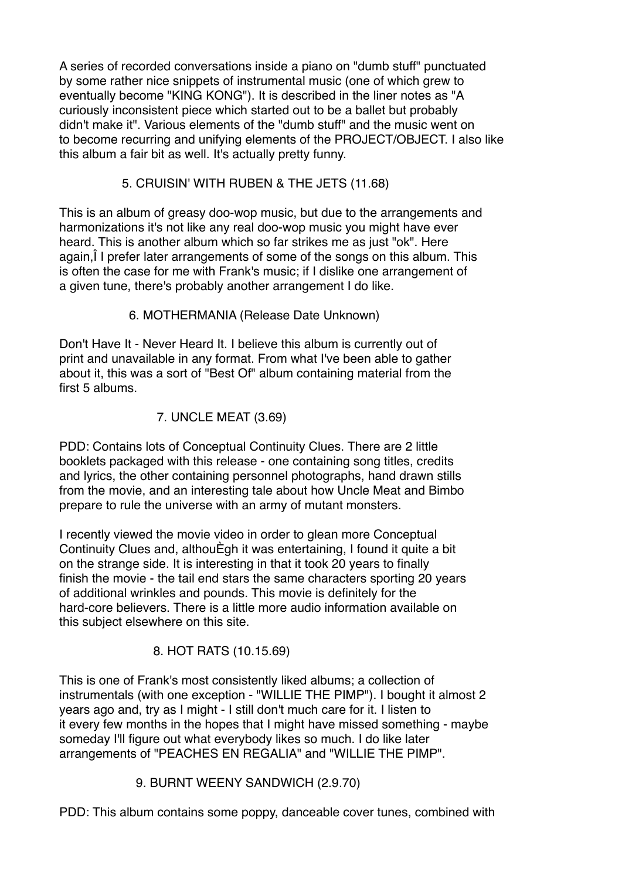A series of recorded conversations inside a piano on "dumb stuff" punctuated by some rather nice snippets of instrumental music (one of which grew to eventually become "KING KONG"). It is described in the liner notes as "A curiously inconsistent piece which started out to be a ballet but probably didn't make it". Various elements of the "dumb stuff" and the music went on to become recurring and unifying elements of the PROJECT/OBJECT. I also like this album a fair bit as well. It's actually pretty funny.

5. CRUISIN' WITH RUBEN & THE JETS (11.68)

This is an album of greasy doo-wop music, but due to the arrangements and harmonizations it's not like any real doo-wop music you might have ever heard. This is another album which so far strikes me as just "ok". Here again,Î I prefer later arrangements of some of the songs on this album. This is often the case for me with Frank's music; if I dislike one arrangement of a given tune, there's probably another arrangement I do like.

6. MOTHERMANIA (Release Date Unknown)

Don't Have It - Never Heard It. I believe this album is currently out of print and unavailable in any format. From what I've been able to gather about it, this was a sort of "Best Of" album containing material from the first 5 albums.

7. UNCLE MEAT (3.69)

PDD: Contains lots of Conceptual Continuity Clues. There are 2 little booklets packaged with this release - one containing song titles, credits and lyrics, the other containing personnel photographs, hand drawn stills from the movie, and an interesting tale about how Uncle Meat and Bimbo prepare to rule the universe with an army of mutant monsters.

I recently viewed the movie video in order to glean more Conceptual Continuity Clues and, althouÈgh it was entertaining, I found it quite a bit on the strange side. It is interesting in that it took 20 years to finally finish the movie - the tail end stars the same characters sporting 20 years of additional wrinkles and pounds. This movie is definitely for the hard-core believers. There is a little more audio information available on this subject elsewhere on this site.

# 8. HOT RATS (10.15.69)

This is one of Frank's most consistently liked albums; a collection of instrumentals (with one exception - "WILLIE THE PIMP"). I bought it almost 2 years ago and, try as I might - I still don't much care for it. I listen to it every few months in the hopes that I might have missed something - maybe someday I'll figure out what everybody likes so much. I do like later arrangements of "PEACHES EN REGALIA" and "WILLIE THE PIMP".

# 9. BURNT WEENY SANDWICH (2.9.70)

PDD: This album contains some poppy, danceable cover tunes, combined with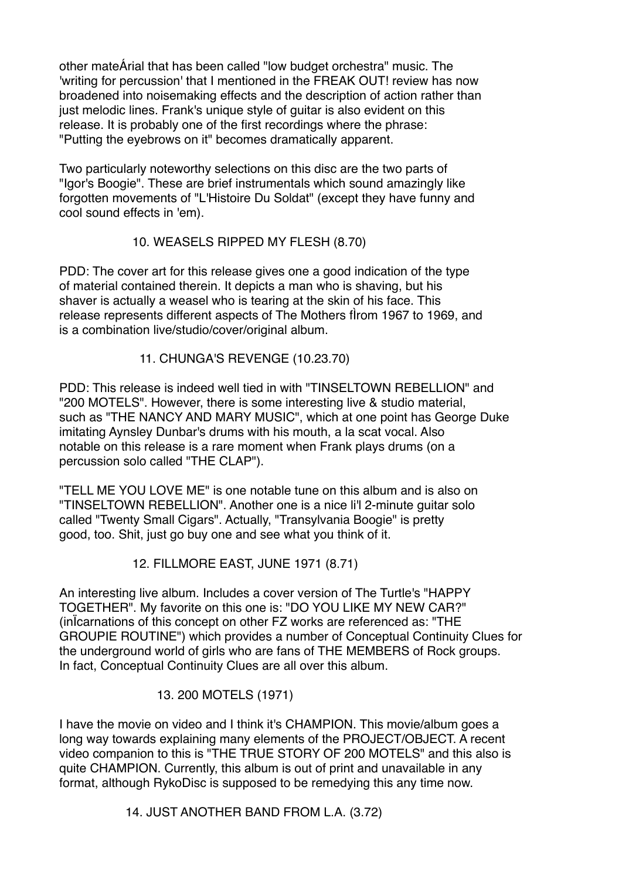other mateÁrial that has been called "low budget orchestra" music. The 'writing for percussion' that I mentioned in the FREAK OUT! review has now broadened into noisemaking effects and the description of action rather than just melodic lines. Frank's unique style of quitar is also evident on this release. It is probably one of the first recordings where the phrase: "Putting the eyebrows on it" becomes dramatically apparent.

Two particularly noteworthy selections on this disc are the two parts of "Igor's Boogie". These are brief instrumentals which sound amazingly like forgotten movements of "L'Histoire Du Soldat" (except they have funny and cool sound effects in 'em).

## 10. WEASELS RIPPED MY FLESH (8.70)

PDD: The cover art for this release gives one a good indication of the type of material contained therein. It depicts a man who is shaving, but his shaver is actually a weasel who is tearing at the skin of his face. This release represents different aspects of The Mothers fÌrom 1967 to 1969, and is a combination live/studio/cover/original album.

11. CHUNGA'S REVENGE (10.23.70)

PDD: This release is indeed well tied in with "TINSELTOWN REBELLION" and "200 MOTELS". However, there is some interesting live & studio material, such as "THE NANCY AND MARY MUSIC", which at one point has George Duke imitating Aynsley Dunbar's drums with his mouth, a la scat vocal. Also notable on this release is a rare moment when Frank plays drums (on a percussion solo called "THE CLAP").

"TELL ME YOU LOVE ME" is one notable tune on this album and is also on "TINSELTOWN REBELLION". Another one is a nice li'l 2-minute guitar solo called "Twenty Small Cigars". Actually, "Transylvania Boogie" is pretty good, too. Shit, just go buy one and see what you think of it.

12. FILLMORE EAST, JUNE 1971 (8.71)

An interesting live album. Includes a cover version of The Turtle's "HAPPY TOGETHER". My favorite on this one is: "DO YOU LIKE MY NEW CAR?" (inÏcarnations of this concept on other FZ works are referenced as: "THE GROUPIE ROUTINE") which provides a number of Conceptual Continuity Clues for the underground world of girls who are fans of THE MEMBERS of Rock groups. In fact, Conceptual Continuity Clues are all over this album.

## 13. 200 MOTELS (1971)

I have the movie on video and I think it's CHAMPION. This movie/album goes a long way towards explaining many elements of the PROJECT/OBJECT. A recent video companion to this is "THE TRUE STORY OF 200 MOTELS" and this also is quite CHAMPION. Currently, this album is out of print and unavailable in any format, although RykoDisc is supposed to be remedying this any time now.

14. JUST ANOTHER BAND FROM L.A. (3.72)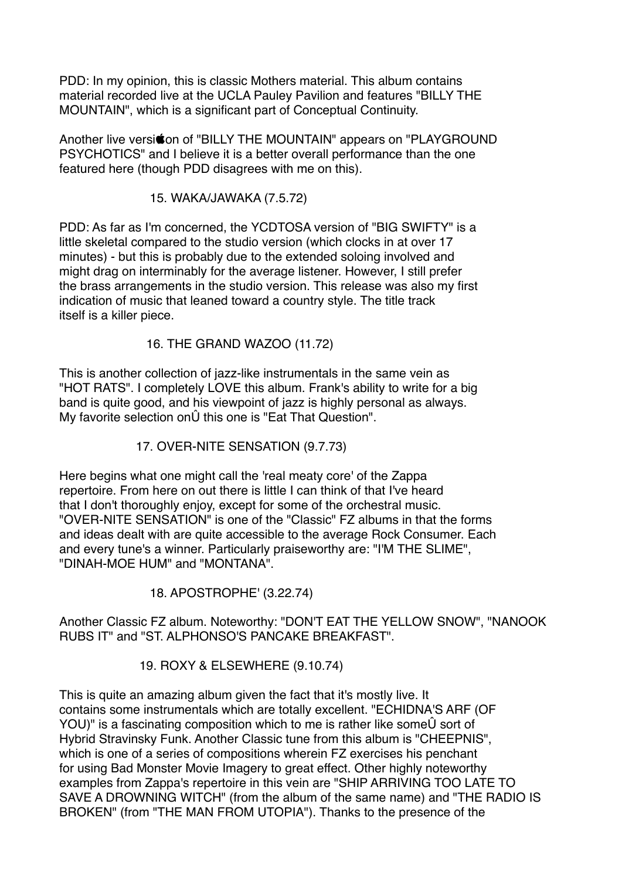PDD: In my opinion, this is classic Mothers material. This album contains material recorded live at the UCLA Pauley Pavilion and features "BILLY THE MOUNTAIN", which is a significant part of Conceptual Continuity.

Another live versition of "BILLY THE MOUNTAIN" appears on "PLAYGROUND PSYCHOTICS" and I believe it is a better overall performance than the one featured here (though PDD disagrees with me on this).

15. WAKA/JAWAKA (7.5.72)

PDD: As far as I'm concerned, the YCDTOSA version of "BIG SWIFTY" is a little skeletal compared to the studio version (which clocks in at over 17 minutes) - but this is probably due to the extended soloing involved and might drag on interminably for the average listener. However, I still prefer the brass arrangements in the studio version. This release was also my first indication of music that leaned toward a country style. The title track itself is a killer piece.

## 16. THE GRAND WAZOO (11.72)

This is another collection of jazz-like instrumentals in the same vein as "HOT RATS". I completely LOVE this album. Frank's ability to write for a big band is quite good, and his viewpoint of jazz is highly personal as always. My favorite selection onÛ this one is "Eat That Question".

17. OVER-NITE SENSATION (9.7.73)

Here begins what one might call the 'real meaty core' of the Zappa repertoire. From here on out there is little I can think of that I've heard that I don't thoroughly enjoy, except for some of the orchestral music. "OVER-NITE SENSATION" is one of the "Classic" FZ albums in that the forms and ideas dealt with are quite accessible to the average Rock Consumer. Each and every tune's a winner. Particularly praiseworthy are: "I'M THE SLIME", "DINAH-MOE HUM" and "MONTANA".

18. APOSTROPHE' (3.22.74)

Another Classic FZ album. Noteworthy: "DON'T EAT THE YELLOW SNOW", "NANOOK RUBS IT" and "ST. ALPHONSO'S PANCAKE BREAKFAST".

19. ROXY & ELSEWHERE (9.10.74)

This is quite an amazing album given the fact that it's mostly live. It contains some instrumentals which are totally excellent. "ECHIDNA'S ARF (OF YOU)" is a fascinating composition which to me is rather like someÛ sort of Hybrid Stravinsky Funk. Another Classic tune from this album is "CHEEPNIS", which is one of a series of compositions wherein FZ exercises his penchant for using Bad Monster Movie Imagery to great effect. Other highly noteworthy examples from Zappa's repertoire in this vein are "SHIP ARRIVING TOO LATE TO SAVE A DROWNING WITCH" (from the album of the same name) and "THE RADIO IS BROKEN" (from "THE MAN FROM UTOPIA"). Thanks to the presence of the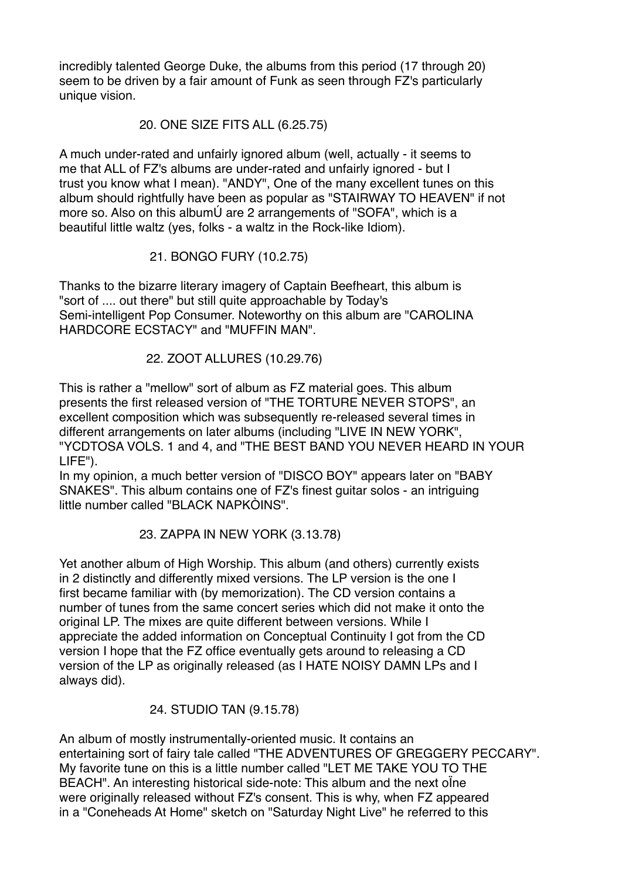incredibly talented George Duke, the albums from this period (17 through 20) seem to be driven by a fair amount of Funk as seen through FZ's particularly unique vision.

#### 20. ONE SIZE FITS ALL (6.25.75)

A much under-rated and unfairly ignored album (well, actually - it seems to me that ALL of FZ's albums are under-rated and unfairly ignored - but I trust you know what I mean). "ANDY", One of the many excellent tunes on this album should rightfully have been as popular as "STAIRWAY TO HEAVEN" if not more so. Also on this albumÚ are 2 arrangements of "SOFA", which is a beautiful little waltz (yes, folks - a waltz in the Rock-like Idiom).

21. BONGO FURY (10.2.75)

Thanks to the bizarre literary imagery of Captain Beefheart, this album is "sort of .... out there" but still quite approachable by Today's Semi-intelligent Pop Consumer. Noteworthy on this album are "CAROLINA HARDCORE ECSTACY" and "MUFFIN MAN".

22. ZOOT ALLURES (10.29.76)

This is rather a "mellow" sort of album as FZ material goes. This album presents the first released version of "THE TORTURE NEVER STOPS", an excellent composition which was subsequently re-released several times in different arrangements on later albums (including "LIVE IN NEW YORK", "YCDTOSA VOLS. 1 and 4, and "THE BEST BAND YOU NEVER HEARD IN YOUR LIFE").

In my opinion, a much better version of "DISCO BOY" appears later on "BABY SNAKES". This album contains one of FZ's finest guitar solos - an intriguing little number called "BLACK NAPKÒINS".

23. ZAPPA IN NEW YORK (3.13.78)

Yet another album of High Worship. This album (and others) currently exists in 2 distinctly and differently mixed versions. The LP version is the one I first became familiar with (by memorization). The CD version contains a number of tunes from the same concert series which did not make it onto the original LP. The mixes are quite different between versions. While I appreciate the added information on Conceptual Continuity I got from the CD version I hope that the FZ office eventually gets around to releasing a CD version of the LP as originally released (as I HATE NOISY DAMN LPs and I always did).

24. STUDIO TAN (9.15.78)

An album of mostly instrumentally-oriented music. It contains an entertaining sort of fairy tale called "THE ADVENTURES OF GREGGERY PECCARY". My favorite tune on this is a little number called "LET ME TAKE YOU TO THE BEACH". An interesting historical side-note: This album and the next oÏne were originally released without FZ's consent. This is why, when FZ appeared in a "Coneheads At Home" sketch on "Saturday Night Live" he referred to this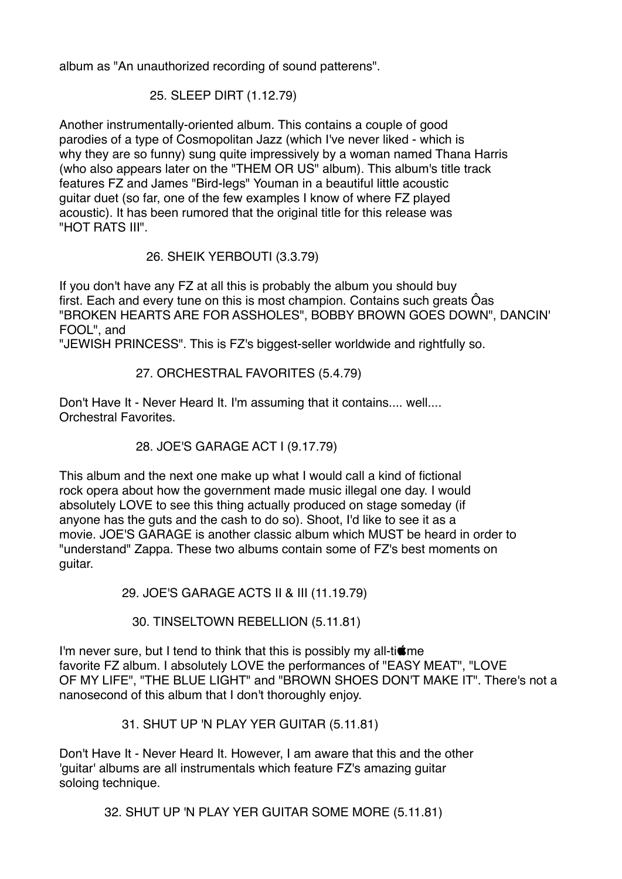album as "An unauthorized recording of sound patterens".

#### 25. SLEEP DIRT (1.12.79)

Another instrumentally-oriented album. This contains a couple of good parodies of a type of Cosmopolitan Jazz (which I've never liked - which is why they are so funny) sung quite impressively by a woman named Thana Harris (who also appears later on the "THEM OR US" album). This album's title track features FZ and James "Bird-legs" Youman in a beautiful little acoustic guitar duet (so far, one of the few examples I know of where FZ played acoustic). It has been rumored that the original title for this release was "HOT RATS III".

26. SHEIK YERBOUTI (3.3.79)

If you don't have any FZ at all this is probably the album you should buy first. Each and every tune on this is most champion. Contains such greats Ôas "BROKEN HEARTS ARE FOR ASSHOLES", BOBBY BROWN GOES DOWN", DANCIN' FOOL", and

"JEWISH PRINCESS". This is FZ's biggest-seller worldwide and rightfully so.

#### 27. ORCHESTRAL FAVORITES (5.4.79)

Don't Have It - Never Heard It. I'm assuming that it contains.... well.... Orchestral Favorites.

## 28. JOE'S GARAGE ACT I (9.17.79)

This album and the next one make up what I would call a kind of fictional rock opera about how the government made music illegal one day. I would absolutely LOVE to see this thing actually produced on stage someday (if anyone has the guts and the cash to do so). Shoot, I'd like to see it as a movie. JOE'S GARAGE is another classic album which MUST be heard in order to "understand" Zappa. These two albums contain some of FZ's best moments on guitar.

29. JOE'S GARAGE ACTS II & III (11.19.79)

30. TINSELTOWN REBELLION (5.11.81)

I'm never sure, but I tend to think that this is possibly my all-ti $\sin$ favorite FZ album. I absolutely LOVE the performances of "EASY MEAT", "LOVE OF MY LIFE", "THE BLUE LIGHT" and "BROWN SHOES DON'T MAKE IT". There's not a nanosecond of this album that I don't thoroughly enjoy.

31. SHUT UP 'N PLAY YER GUITAR (5.11.81)

Don't Have It - Never Heard It. However, I am aware that this and the other 'guitar' albums are all instrumentals which feature FZ's amazing guitar soloing technique.

32. SHUT UP 'N PLAY YER GUITAR SOME MORE (5.11.81)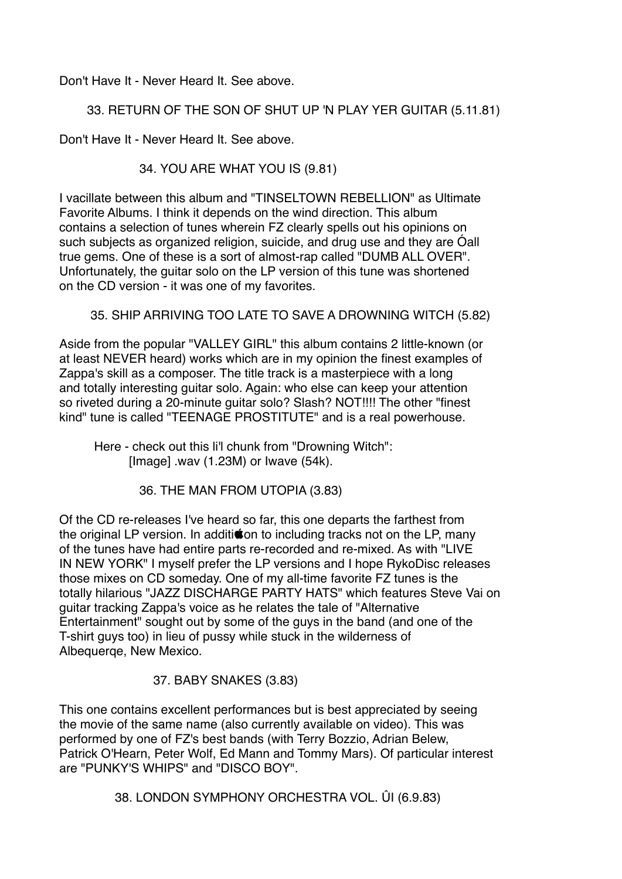Don't Have It - Never Heard It. See above.

## 33. RETURN OF THE SON OF SHUT UP 'N PLAY YER GUITAR (5.11.81)

Don't Have It - Never Heard It. See above.

34. YOU ARE WHAT YOU IS (9.81)

I vacillate between this album and "TINSELTOWN REBELLION" as Ultimate Favorite Albums. I think it depends on the wind direction. This album contains a selection of tunes wherein FZ clearly spells out his opinions on such subjects as organized religion, suicide, and drug use and they are Óall true gems. One of these is a sort of almost-rap called "DUMB ALL OVER". Unfortunately, the guitar solo on the LP version of this tune was shortened on the CD version - it was one of my favorites.

35. SHIP ARRIVING TOO LATE TO SAVE A DROWNING WITCH (5.82)

Aside from the popular "VALLEY GIRL" this album contains 2 little-known (or at least NEVER heard) works which are in my opinion the finest examples of Zappa's skill as a composer. The title track is a masterpiece with a long and totally interesting guitar solo. Again: who else can keep your attention so riveted during a 20-minute guitar solo? Slash? NOT!!!! The other "finest kind" tune is called "TEENAGE PROSTITUTE" and is a real powerhouse.

 Here - check out this li'l chunk from "Drowning Witch":  $[Image]$  .wav  $(1.23M)$  or Iwave  $(54k)$ .

36. THE MAN FROM UTOPIA (3.83)

Of the CD re-releases I've heard so far, this one departs the farthest from the original LP version. In additition to including tracks not on the LP, many of the tunes have had entire parts re-recorded and re-mixed. As with "LIVE IN NEW YORK" I myself prefer the LP versions and I hope RykoDisc releases those mixes on CD someday. One of my all-time favorite FZ tunes is the totally hilarious "JAZZ DISCHARGE PARTY HATS" which features Steve Vai on guitar tracking Zappa's voice as he relates the tale of "Alternative Entertainment" sought out by some of the guys in the band (and one of the T-shirt guys too) in lieu of pussy while stuck in the wilderness of Albequerqe, New Mexico.

37. BABY SNAKES (3.83)

This one contains excellent performances but is best appreciated by seeing the movie of the same name (also currently available on video). This was performed by one of FZ's best bands (with Terry Bozzio, Adrian Belew, Patrick O'Hearn, Peter Wolf, Ed Mann and Tommy Mars). Of particular interest are "PUNKY'S WHIPS" and "DISCO BOY".

38. LONDON SYMPHONY ORCHESTRA VOL. ÛI (6.9.83)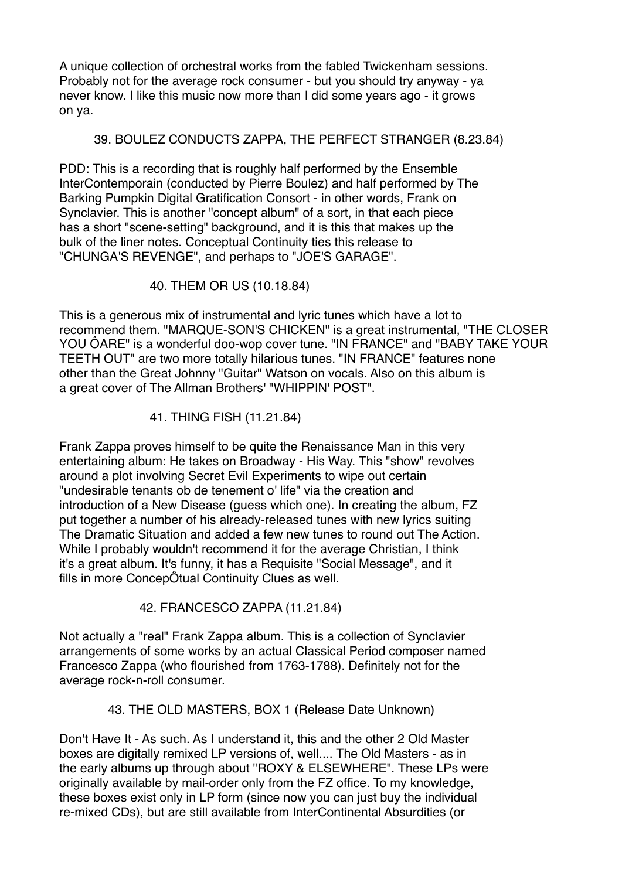A unique collection of orchestral works from the fabled Twickenham sessions. Probably not for the average rock consumer - but you should try anyway - ya never know. I like this music now more than I did some years ago - it grows on ya.

#### 39. BOULEZ CONDUCTS ZAPPA, THE PERFECT STRANGER (8.23.84)

PDD: This is a recording that is roughly half performed by the Ensemble InterContemporain (conducted by Pierre Boulez) and half performed by The Barking Pumpkin Digital Gratification Consort - in other words, Frank on Synclavier. This is another "concept album" of a sort, in that each piece has a short "scene-setting" background, and it is this that makes up the bulk of the liner notes. Conceptual Continuity ties this release to "CHUNGA'S REVENGE", and perhaps to "JOE'S GARAGE".

40. THEM OR US (10.18.84)

This is a generous mix of instrumental and lyric tunes which have a lot to recommend them. "MARQUE-SON'S CHICKEN" is a great instrumental, "THE CLOSER YOU ÔARE" is a wonderful doo-wop cover tune. "IN FRANCE" and "BABY TAKE YOUR TEETH OUT" are two more totally hilarious tunes. "IN FRANCE" features none other than the Great Johnny "Guitar" Watson on vocals. Also on this album is a great cover of The Allman Brothers' "WHIPPIN' POST".

41. THING FISH (11.21.84)

Frank Zappa proves himself to be quite the Renaissance Man in this very entertaining album: He takes on Broadway - His Way. This "show" revolves around a plot involving Secret Evil Experiments to wipe out certain "undesirable tenants ob de tenement o' life" via the creation and introduction of a New Disease (guess which one). In creating the album, FZ put together a number of his already-released tunes with new lyrics suiting The Dramatic Situation and added a few new tunes to round out The Action. While I probably wouldn't recommend it for the average Christian, I think it's a great album. It's funny, it has a Requisite "Social Message", and it fills in more ConcepÔtual Continuity Clues as well.

42. FRANCESCO ZAPPA (11.21.84)

Not actually a "real" Frank Zappa album. This is a collection of Synclavier arrangements of some works by an actual Classical Period composer named Francesco Zappa (who flourished from 1763-1788). Definitely not for the average rock-n-roll consumer.

## 43. THE OLD MASTERS, BOX 1 (Release Date Unknown)

Don't Have It - As such. As I understand it, this and the other 2 Old Master boxes are digitally remixed LP versions of, well.... The Old Masters - as in the early albums up through about "ROXY & ELSEWHERE". These LPs were originally available by mail-order only from the FZ office. To my knowledge, these boxes exist only in LP form (since now you can just buy the individual re-mixed CDs), but are still available from InterContinental Absurdities (or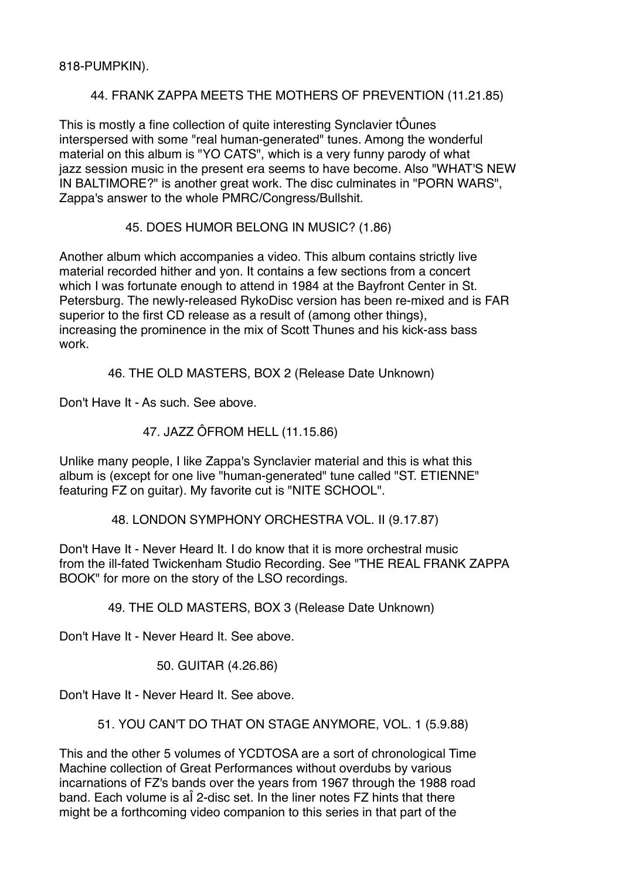818-PUMPKIN).

## 44. FRANK ZAPPA MEETS THE MOTHERS OF PREVENTION (11.21.85)

This is mostly a fine collection of quite interesting Synclavier tÔunes interspersed with some "real human-generated" tunes. Among the wonderful material on this album is "YO CATS", which is a very funny parody of what jazz session music in the present era seems to have become. Also "WHAT'S NEW IN BALTIMORE?" is another great work. The disc culminates in "PORN WARS", Zappa's answer to the whole PMRC/Congress/Bullshit.

### 45. DOES HUMOR BELONG IN MUSIC? (1.86)

Another album which accompanies a video. This album contains strictly live material recorded hither and yon. It contains a few sections from a concert which I was fortunate enough to attend in 1984 at the Bayfront Center in St. Petersburg. The newly-released RykoDisc version has been re-mixed and is FAR superior to the first CD release as a result of (among other things), increasing the prominence in the mix of Scott Thunes and his kick-ass bass work.

46. THE OLD MASTERS, BOX 2 (Release Date Unknown)

Don't Have It - As such. See above.

47. JAZZ ÔFROM HELL (11.15.86)

Unlike many people, I like Zappa's Synclavier material and this is what this album is (except for one live "human-generated" tune called "ST. ETIENNE" featuring FZ on guitar). My favorite cut is "NITE SCHOOL".

48. LONDON SYMPHONY ORCHESTRA VOL. II (9.17.87)

Don't Have It - Never Heard It. I do know that it is more orchestral music from the ill-fated Twickenham Studio Recording. See "THE REAL FRANK ZAPPA BOOK" for more on the story of the LSO recordings.

49. THE OLD MASTERS, BOX 3 (Release Date Unknown)

Don't Have It - Never Heard It. See above.

50. GUITAR (4.26.86)

Don't Have It - Never Heard It. See above.

51. YOU CAN'T DO THAT ON STAGE ANYMORE, VOL. 1 (5.9.88)

This and the other 5 volumes of YCDTOSA are a sort of chronological Time Machine collection of Great Performances without overdubs by various incarnations of FZ's bands over the years from 1967 through the 1988 road band. Each volume is aÎ 2-disc set. In the liner notes FZ hints that there might be a forthcoming video companion to this series in that part of the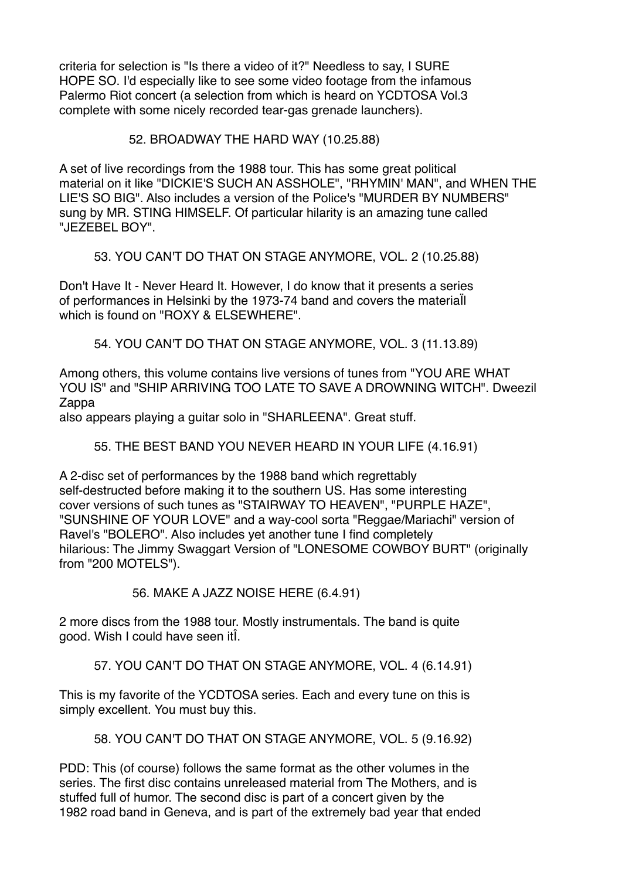criteria for selection is "Is there a video of it?" Needless to say, I SURE HOPE SO. I'd especially like to see some video footage from the infamous Palermo Riot concert (a selection from which is heard on YCDTOSA Vol.3 complete with some nicely recorded tear-gas grenade launchers).

#### 52. BROADWAY THE HARD WAY (10.25.88)

A set of live recordings from the 1988 tour. This has some great political material on it like "DICKIE'S SUCH AN ASSHOLE", "RHYMIN' MAN", and WHEN THE LIE'S SO BIG". Also includes a version of the Police's "MURDER BY NUMBERS" sung by MR. STING HIMSELF. Of particular hilarity is an amazing tune called "JEZEBEL BOY".

53. YOU CAN'T DO THAT ON STAGE ANYMORE, VOL. 2 (10.25.88)

Don't Have It - Never Heard It. However, I do know that it presents a series of performances in Helsinki by the 1973-74 band and covers the materiaÏl which is found on "ROXY & ELSEWHERE".

54. YOU CAN'T DO THAT ON STAGE ANYMORE, VOL. 3 (11.13.89)

Among others, this volume contains live versions of tunes from "YOU ARE WHAT YOU IS" and "SHIP ARRIVING TOO LATE TO SAVE A DROWNING WITCH". Dweezil Zappa

also appears playing a guitar solo in "SHARLEENA". Great stuff.

## 55. THE BEST BAND YOU NEVER HEARD IN YOUR LIFE (4.16.91)

A 2-disc set of performances by the 1988 band which regrettably self-destructed before making it to the southern US. Has some interesting cover versions of such tunes as "STAIRWAY TO HEAVEN", "PURPLE HAZE", "SUNSHINE OF YOUR LOVE" and a way-cool sorta "Reggae/Mariachi" version of Ravel's "BOLERO". Also includes yet another tune I find completely hilarious: The Jimmy Swaggart Version of "LONESOME COWBOY BURT" (originally from "200 MOTELS").

56. MAKE A JAZZ NOISE HERE (6.4.91)

2 more discs from the 1988 tour. Mostly instrumentals. The band is quite good. Wish I could have seen itÎ.

57. YOU CAN'T DO THAT ON STAGE ANYMORE, VOL. 4 (6.14.91)

This is my favorite of the YCDTOSA series. Each and every tune on this is simply excellent. You must buy this.

58. YOU CAN'T DO THAT ON STAGE ANYMORE, VOL. 5 (9.16.92)

PDD: This (of course) follows the same format as the other volumes in the series. The first disc contains unreleased material from The Mothers, and is stuffed full of humor. The second disc is part of a concert given by the 1982 road band in Geneva, and is part of the extremely bad year that ended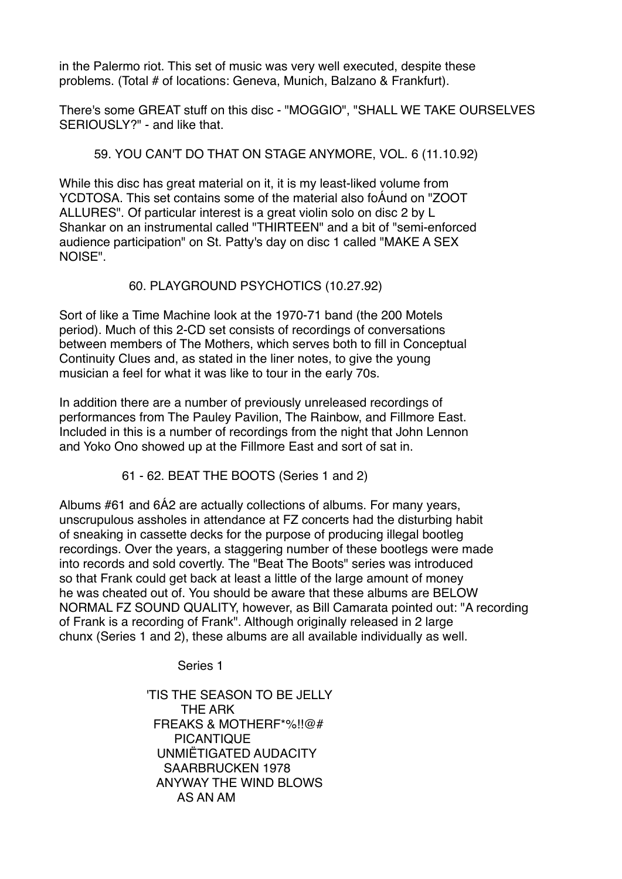in the Palermo riot. This set of music was very well executed, despite these problems. (Total # of locations: Geneva, Munich, Balzano & Frankfurt).

There's some GREAT stuff on this disc - "MOGGIO", "SHALL WE TAKE OURSELVES SERIOUSLY?" - and like that.

#### 59. YOU CAN'T DO THAT ON STAGE ANYMORE, VOL. 6 (11.10.92)

While this disc has great material on it, it is my least-liked volume from YCDTOSA. This set contains some of the material also foÁund on "ZOOT ALLURES". Of particular interest is a great violin solo on disc 2 by L Shankar on an instrumental called "THIRTEEN" and a bit of "semi-enforced audience participation" on St. Patty's day on disc 1 called "MAKE A SEX NOISE".

#### 60. PLAYGROUND PSYCHOTICS (10.27.92)

Sort of like a Time Machine look at the 1970-71 band (the 200 Motels period). Much of this 2-CD set consists of recordings of conversations between members of The Mothers, which serves both to fill in Conceptual Continuity Clues and, as stated in the liner notes, to give the young musician a feel for what it was like to tour in the early 70s.

In addition there are a number of previously unreleased recordings of performances from The Pauley Pavilion, The Rainbow, and Fillmore East. Included in this is a number of recordings from the night that John Lennon and Yoko Ono showed up at the Fillmore East and sort of sat in.

61 - 62. BEAT THE BOOTS (Series 1 and 2)

Albums #61 and 6Á2 are actually collections of albums. For many years, unscrupulous assholes in attendance at FZ concerts had the disturbing habit of sneaking in cassette decks for the purpose of producing illegal bootleg recordings. Over the years, a staggering number of these bootlegs were made into records and sold covertly. The "Beat The Boots" series was introduced so that Frank could get back at least a little of the large amount of money he was cheated out of. You should be aware that these albums are BELOW NORMAL FZ SOUND QUALITY, however, as Bill Camarata pointed out: "A recording of Frank is a recording of Frank". Although originally released in 2 large chunx (Series 1 and 2), these albums are all available individually as well.

Series 1

 'TIS THE SEASON TO BE JELLY THE ARK FREAKS & MOTHERF\*%!!@# PICANTIQUE UNMIËTIGATED AUDACITY SAARBRUCKEN 1978 ANYWAY THE WIND BLOWS AS AN AM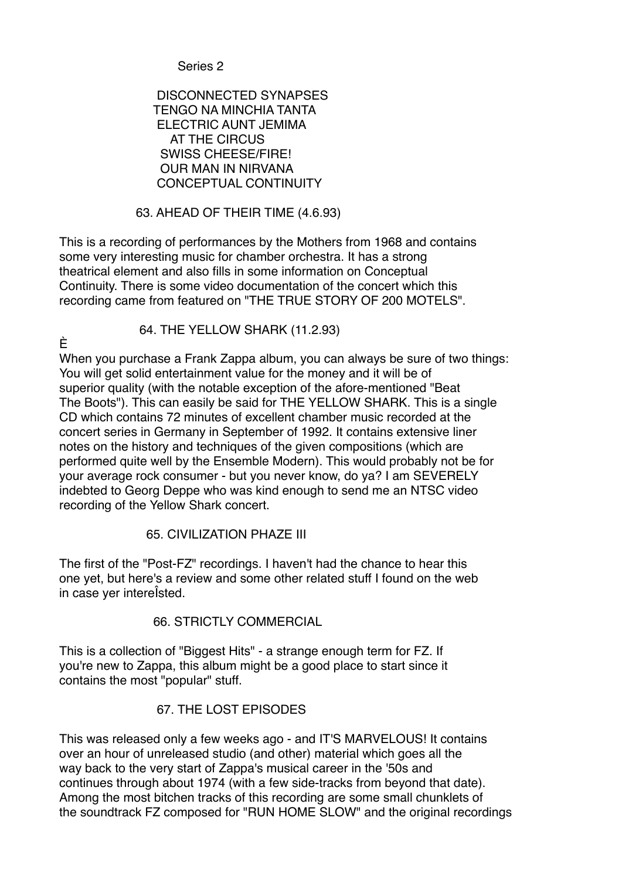Series 2

#### DISCONNECTED SYNAPSES TENGO NA MINCHIA TANTA ELECTRIC AUNT JEMIMA AT THE CIRCUS SWISS CHEESE/FIRE! OUR MAN IN NIRVANA CONCEPTUAL CONTINUITY

#### 63. AHEAD OF THEIR TIME (4.6.93)

This is a recording of performances by the Mothers from 1968 and contains some very interesting music for chamber orchestra. It has a strong theatrical element and also fills in some information on Conceptual Continuity. There is some video documentation of the concert which this recording came from featured on "THE TRUE STORY OF 200 MOTELS".

È

64. THE YELLOW SHARK (11.2.93)

When you purchase a Frank Zappa album, you can always be sure of two things: You will get solid entertainment value for the money and it will be of superior quality (with the notable exception of the afore-mentioned "Beat The Boots"). This can easily be said for THE YELLOW SHARK. This is a single CD which contains 72 minutes of excellent chamber music recorded at the concert series in Germany in September of 1992. It contains extensive liner notes on the history and techniques of the given compositions (which are performed quite well by the Ensemble Modern). This would probably not be for your average rock consumer - but you never know, do ya? I am SEVERELY indebted to Georg Deppe who was kind enough to send me an NTSC video recording of the Yellow Shark concert.

## 65. CIVILIZATION PHAZE III

The first of the "Post-FZ" recordings. I haven't had the chance to hear this one yet, but here's a review and some other related stuff I found on the web in case yer intereÎsted.

66. STRICTLY COMMERCIAL

This is a collection of "Biggest Hits" - a strange enough term for FZ. If you're new to Zappa, this album might be a good place to start since it contains the most "popular" stuff.

## 67. THE LOST EPISODES

This was released only a few weeks ago - and IT'S MARVELOUS! It contains over an hour of unreleased studio (and other) material which goes all the way back to the very start of Zappa's musical career in the '50s and continues through about 1974 (with a few side-tracks from beyond that date). Among the most bitchen tracks of this recording are some small chunklets of the soundtrack FZ composed for "RUN HOME SLOW" and the original recordings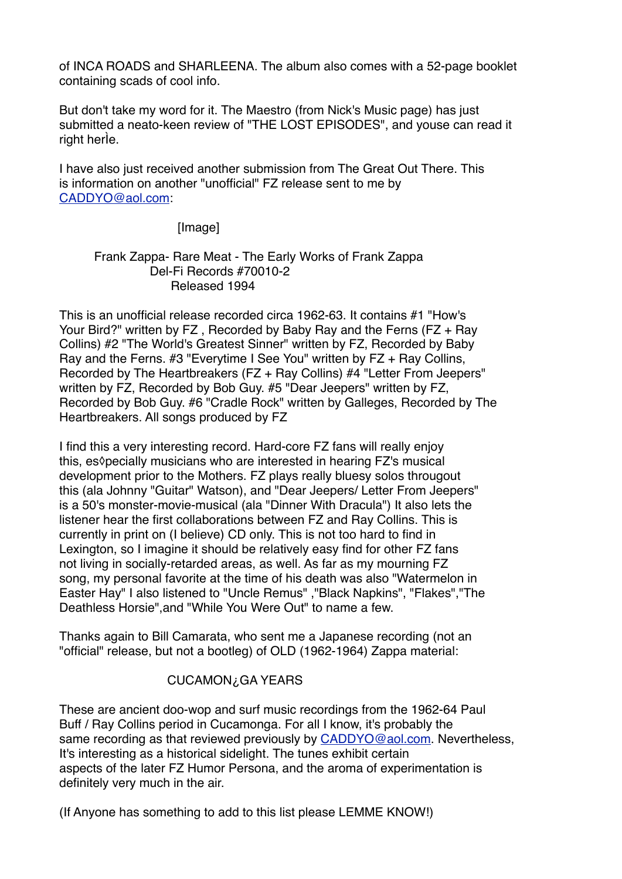of INCA ROADS and SHARLEENA. The album also comes with a 52-page booklet containing scads of cool info.

But don't take my word for it. The Maestro (from Nick's Music page) has just submitted a neato-keen review of "THE LOST EPISODES", and youse can read it right herÌe.

I have also just received another submission from The Great Out There. This is information on another "unofficial" FZ release sent to me by [CADDYO@aol.com](mailto:CADDYO@aol.com):

[Image]

#### Frank Zappa- Rare Meat - The Early Works of Frank Zappa Del-Fi Records #70010-2 Released 1994

This is an unofficial release recorded circa 1962-63. It contains #1 "How's Your Bird?" written by FZ , Recorded by Baby Ray and the Ferns (FZ + Ray Collins) #2 "The World's Greatest Sinner" written by FZ, Recorded by Baby Ray and the Ferns. #3 "Everytime I See You" written by FZ + Ray Collins, Recorded by The Heartbreakers (FZ + Ray Collins) #4 "Letter From Jeepers" written by FZ, Recorded by Bob Guy. #5 "Dear Jeepers" written by FZ, Recorded by Bob Guy. #6 "Cradle Rock" written by Galleges, Recorded by The Heartbreakers. All songs produced by FZ

I find this a very interesting record. Hard-core FZ fans will really enjoy this, es◊pecially musicians who are interested in hearing FZ's musical development prior to the Mothers. FZ plays really bluesy solos througout this (ala Johnny "Guitar" Watson), and "Dear Jeepers/ Letter From Jeepers" is a 50's monster-movie-musical (ala "Dinner With Dracula") It also lets the listener hear the first collaborations between FZ and Ray Collins. This is currently in print on (I believe) CD only. This is not too hard to find in Lexington, so I imagine it should be relatively easy find for other FZ fans not living in socially-retarded areas, as well. As far as my mourning FZ song, my personal favorite at the time of his death was also "Watermelon in Easter Hay" I also listened to "Uncle Remus" ,"Black Napkins", "Flakes","The Deathless Horsie",and "While You Were Out" to name a few.

Thanks again to Bill Camarata, who sent me a Japanese recording (not an "official" release, but not a bootleg) of OLD (1962-1964) Zappa material:

## CUCAMON¿GA YEARS

These are ancient doo-wop and surf music recordings from the 1962-64 Paul Buff / Ray Collins period in Cucamonga. For all I know, it's probably the same recording as that reviewed previously by [CADDYO@aol.com](mailto:CADDYO@aol.com). Nevertheless, It's interesting as a historical sidelight. The tunes exhibit certain aspects of the later FZ Humor Persona, and the aroma of experimentation is definitely very much in the air.

(If Anyone has something to add to this list please LEMME KNOW!)